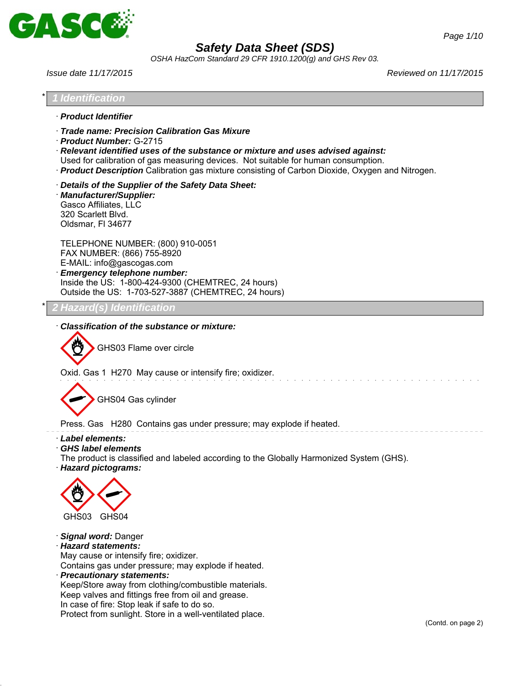

*OSHA HazCom Standard 29 CFR 1910.1200(g) and GHS Rev 03.*

In case of fire: Stop leak if safe to do so.

Protect from sunlight. Store in a well-ventilated place.

*Issue date 11/17/2015 Reviewed on 11/17/2015*

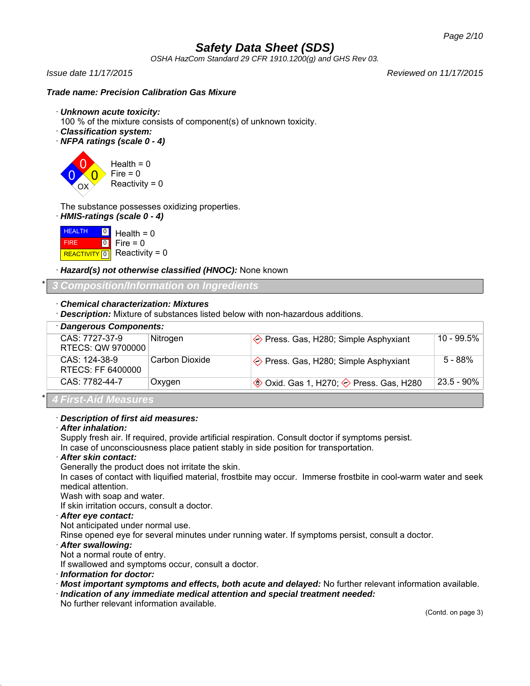*OSHA HazCom Standard 29 CFR 1910.1200(g) and GHS Rev 03.*

*Issue date 11/17/2015 Reviewed on 11/17/2015*

### *Trade name: Precision Calibration Gas Mixure*

- · *Unknown acute toxicity:*
- 100 % of the mixture consists of component(s) of unknown toxicity.
- · *Classification system:*
- · *NFPA ratings (scale 0 4)*

0 0  $\overline{0}$ OX Health =  $0$  $Fire = 0$  $Reactivity = 0$ 

The substance possesses oxidizing properties.

· *HMIS-ratings (scale 0 - 4)*

**HEALTH**  FIRE REACTIVITY  $\boxed{0}$  Reactivity = 0  $\frac{0}{1}$  Health = 0  $\overline{10}$ Fire  $= 0$ 

· *Hazard(s) not otherwise classified (HNOC):* None known

\* *3 Composition/Information on Ingredients*

- · *Chemical characterization: Mixtures*
- · *Description:* Mixture of substances listed below with non-hazardous additions.

| Dangerous Components:               |                |                                                                  |               |  |  |
|-------------------------------------|----------------|------------------------------------------------------------------|---------------|--|--|
| CAS: 7727-37-9<br>RTECS: QW 9700000 | Nitrogen       | $\diamond$ Press. Gas, H280; Simple Asphyxiant                   | 10 - 99.5%    |  |  |
| CAS: 124-38-9<br>RTECS: FF 6400000  | Carbon Dioxide | $\diamondsuit$ Press. Gas, H280; Simple Asphyxiant               | $5 - 88\%$    |  |  |
| CAS: 7782-44-7                      | Oxygen         | $\circledast$ Oxid. Gas 1, H270; $\diamondsuit$ Press. Gas, H280 | $23.5 - 90\%$ |  |  |
| A Fire A Lat Macedonics             |                |                                                                  |               |  |  |

\* *4 First-Aid Measures*

#### · *Description of first aid measures:*

### · *After inhalation:*

Supply fresh air. If required, provide artificial respiration. Consult doctor if symptoms persist.

In case of unconsciousness place patient stably in side position for transportation.

### · *After skin contact:*

Generally the product does not irritate the skin.

In cases of contact with liquified material, frostbite may occur. Immerse frostbite in cool-warm water and seek medical attention.

Wash with soap and water.

If skin irritation occurs, consult a doctor.

#### · *After eye contact:*

Not anticipated under normal use.

Rinse opened eye for several minutes under running water. If symptoms persist, consult a doctor.

#### · *After swallowing:*

Not a normal route of entry.

If swallowed and symptoms occur, consult a doctor.

· *Information for doctor:*

- · *Most important symptoms and effects, both acute and delayed:* No further relevant information available.
- · *Indication of any immediate medical attention and special treatment needed:*

No further relevant information available.

(Contd. on page 3)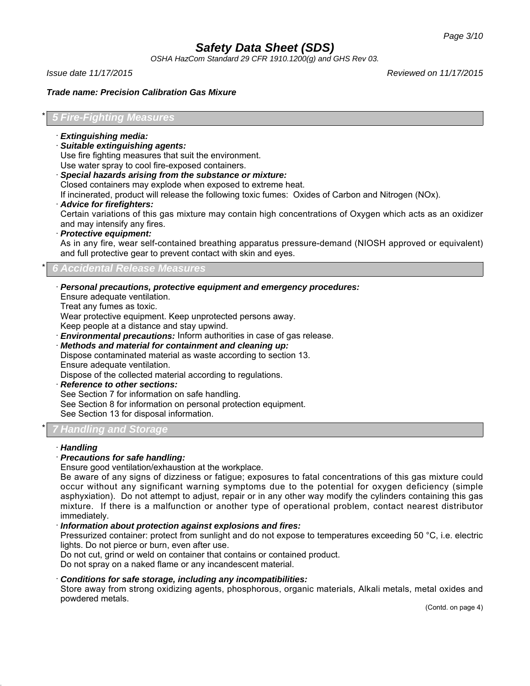*OSHA HazCom Standard 29 CFR 1910.1200(g) and GHS Rev 03.*

*Issue date 11/17/2015 Reviewed on 11/17/2015*

#### *Trade name: Precision Calibration Gas Mixure*

#### \* *5 Fire-Fighting Measures*

- · *Extinguishing media:*
- · *Suitable extinguishing agents:*

Use fire fighting measures that suit the environment.

Use water spray to cool fire-exposed containers.

· *Special hazards arising from the substance or mixture:*

Closed containers may explode when exposed to extreme heat.

If incinerated, product will release the following toxic fumes: Oxides of Carbon and Nitrogen (NOx).

· *Advice for firefighters:*

Certain variations of this gas mixture may contain high concentrations of Oxygen which acts as an oxidizer and may intensify any fires.

· *Protective equipment:*

As in any fire, wear self-contained breathing apparatus pressure-demand (NIOSH approved or equivalent) and full protective gear to prevent contact with skin and eyes.

### \* *6 Accidental Release Measures*

· *Personal precautions, protective equipment and emergency procedures:*

Ensure adequate ventilation.

Treat any fumes as toxic.

Wear protective equipment. Keep unprotected persons away.

Keep people at a distance and stay upwind.

- **Environmental precautions:** Inform authorities in case of gas release.
- · *Methods and material for containment and cleaning up:* Dispose contaminated material as waste according to section 13. Ensure adequate ventilation.

Dispose of the collected material according to regulations.

· *Reference to other sections:*

See Section 7 for information on safe handling.

See Section 8 for information on personal protection equipment.

See Section 13 for disposal information.

### \* *7 Handling and Storage*

#### · *Handling*

### · *Precautions for safe handling:*

Ensure good ventilation/exhaustion at the workplace.

Be aware of any signs of dizziness or fatigue; exposures to fatal concentrations of this gas mixture could occur without any significant warning symptoms due to the potential for oxygen deficiency (simple asphyxiation). Do not attempt to adjust, repair or in any other way modify the cylinders containing this gas mixture. If there is a malfunction or another type of operational problem, contact nearest distributor immediately.

#### · *Information about protection against explosions and fires:*

Pressurized container: protect from sunlight and do not expose to temperatures exceeding 50 °C, i.e. electric lights. Do not pierce or burn, even after use.

Do not cut, grind or weld on container that contains or contained product.

Do not spray on a naked flame or any incandescent material.

#### · *Conditions for safe storage, including any incompatibilities:*

Store away from strong oxidizing agents, phosphorous, organic materials, Alkali metals, metal oxides and powdered metals.

(Contd. on page 4)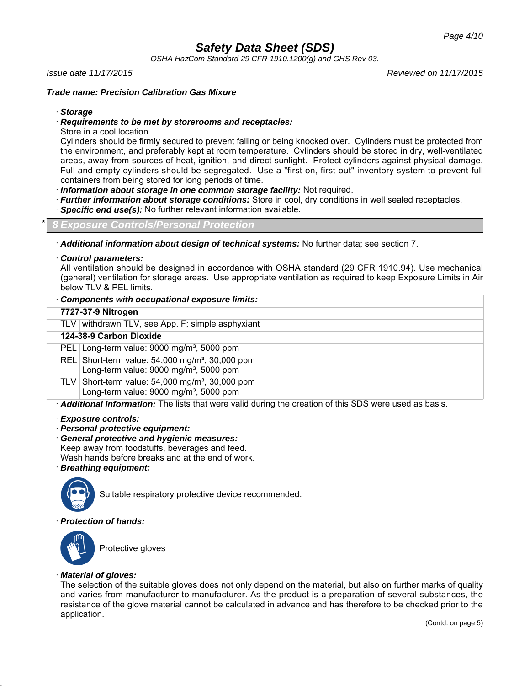*OSHA HazCom Standard 29 CFR 1910.1200(g) and GHS Rev 03.*

#### *Issue date 11/17/2015 Reviewed on 11/17/2015*

### *Trade name: Precision Calibration Gas Mixure*

· *Storage*

#### · *Requirements to be met by storerooms and receptacles:*

Store in a cool location.

Cylinders should be firmly secured to prevent falling or being knocked over. Cylinders must be protected from the environment, and preferably kept at room temperature. Cylinders should be stored in dry, well-ventilated areas, away from sources of heat, ignition, and direct sunlight. Protect cylinders against physical damage. Full and empty cylinders should be segregated. Use a "first-on, first-out" inventory system to prevent full containers from being stored for long periods of time.

· *Information about storage in one common storage facility:* Not required.

- · *Further information about storage conditions:* Store in cool, dry conditions in well sealed receptacles.
- Specific end use(s): No further relevant information available.

#### \* *8 Exposure Controls/Personal Protection*

· *Additional information about design of technical systems:* No further data; see section 7.

#### · *Control parameters:*

All ventilation should be designed in accordance with OSHA standard (29 CFR 1910.94). Use mechanical (general) ventilation for storage areas. Use appropriate ventilation as required to keep Exposure Limits in Air below TLV & PEL limits.

|  | Components with occupational exposure limits: |  |
|--|-----------------------------------------------|--|
|--|-----------------------------------------------|--|

#### **7727-37-9 Nitrogen**

TLV withdrawn TLV, see App. F; simple asphyxiant

### **124-38-9 Carbon Dioxide**

PEL Long-term value: 9000 mg/m<sup>3</sup>, 5000 ppm

REL Short-term value:  $54,000$  mg/m<sup>3</sup>, 30,000 ppm Long-term value: 9000 mg/m<sup>3</sup>, 5000 ppm

TLV Short-term value:  $54,000$  mg/m<sup>3</sup>, 30,000 ppm Long-term value: 9000 mg/m<sup>3</sup>, 5000 ppm

· *Additional information:* The lists that were valid during the creation of this SDS were used as basis.

#### · *Exposure controls:*

· *Personal protective equipment:*

· *General protective and hygienic measures:*

Keep away from foodstuffs, beverages and feed.

Wash hands before breaks and at the end of work.

· *Breathing equipment:*



Suitable respiratory protective device recommended.

#### · *Protection of hands:*



Protective gloves

#### · *Material of gloves:*

The selection of the suitable gloves does not only depend on the material, but also on further marks of quality and varies from manufacturer to manufacturer. As the product is a preparation of several substances, the resistance of the glove material cannot be calculated in advance and has therefore to be checked prior to the application.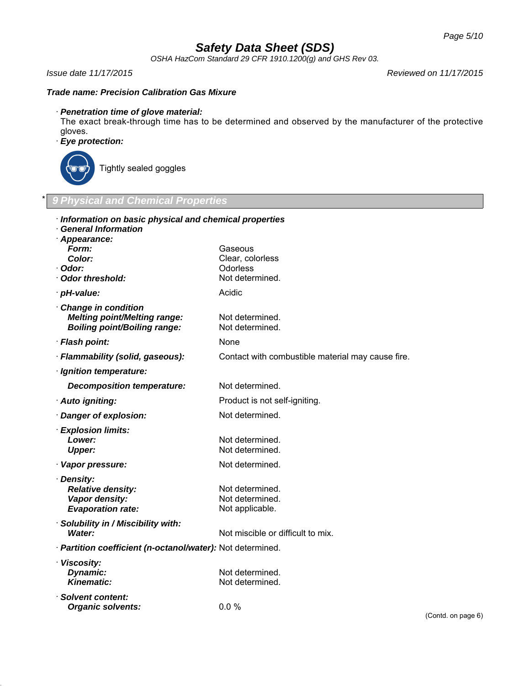*OSHA HazCom Standard 29 CFR 1910.1200(g) and GHS Rev 03.*

#### *Issue date 11/17/2015 Reviewed on 11/17/2015*

### *Trade name: Precision Calibration Gas Mixure*

### · *Penetration time of glove material:*

The exact break-through time has to be determined and observed by the manufacturer of the protective gloves.

## · *Eye protection:*



Tightly sealed goggles

### \* *9 Physical and Chemical Properties*

| Information on basic physical and chemical properties      |                                                   |                    |
|------------------------------------------------------------|---------------------------------------------------|--------------------|
| <b>General Information</b><br>Appearance:                  |                                                   |                    |
| Form:                                                      | Gaseous                                           |                    |
| Color:                                                     | Clear, colorless                                  |                    |
| Odor:                                                      | Odorless                                          |                    |
| · Odor threshold:                                          | Not determined.                                   |                    |
| · pH-value:                                                | Acidic                                            |                    |
| Change in condition                                        |                                                   |                    |
| <b>Melting point/Melting range:</b>                        | Not determined.                                   |                    |
| <b>Boiling point/Boiling range:</b>                        | Not determined.                                   |                    |
| · Flash point:                                             | <b>None</b>                                       |                    |
| · Flammability (solid, gaseous):                           | Contact with combustible material may cause fire. |                    |
| · Ignition temperature:                                    |                                                   |                    |
| <b>Decomposition temperature:</b>                          | Not determined.                                   |                    |
| · Auto igniting:                                           | Product is not self-igniting.                     |                    |
| · Danger of explosion:                                     | Not determined.                                   |                    |
| · Explosion limits:                                        |                                                   |                    |
| Lower:                                                     | Not determined.                                   |                    |
| <b>Upper:</b>                                              | Not determined.                                   |                    |
| · Vapor pressure:                                          | Not determined.                                   |                    |
| · Density:                                                 |                                                   |                    |
| <b>Relative density:</b>                                   | Not determined.                                   |                    |
| Vapor density:                                             | Not determined.                                   |                    |
| <b>Evaporation rate:</b>                                   | Not applicable.                                   |                    |
| Solubility in / Miscibility with:                          |                                                   |                    |
| Water:                                                     | Not miscible or difficult to mix.                 |                    |
| · Partition coefficient (n-octanol/water): Not determined. |                                                   |                    |
| · Viscosity:                                               |                                                   |                    |
| Dynamic:                                                   | Not determined.                                   |                    |
| <b>Kinematic:</b>                                          | Not determined.                                   |                    |
| · Solvent content:                                         |                                                   |                    |
| <b>Organic solvents:</b>                                   | 0.0%                                              |                    |
|                                                            |                                                   | (Contd. on page 6) |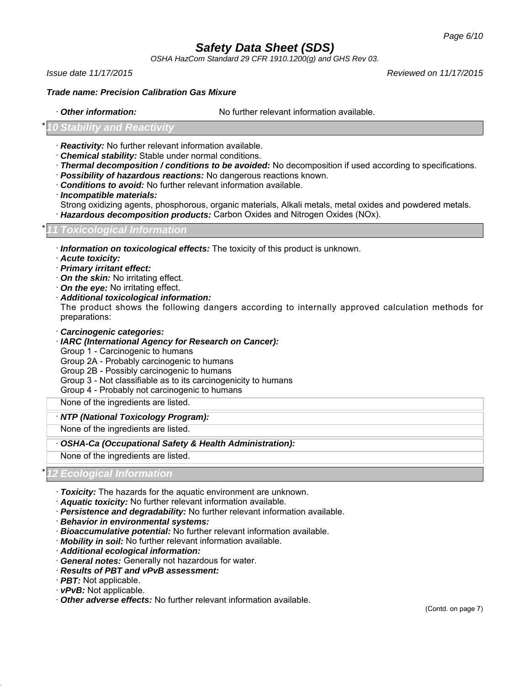*OSHA HazCom Standard 29 CFR 1910.1200(g) and GHS Rev 03.*

*Issue date 11/17/2015 Reviewed on 11/17/2015*

#### *Trade name: Precision Calibration Gas Mixure*

· *Other information:* No further relevant information available.

### **Stability and Reactivity**

- · *Reactivity:* No further relevant information available.
- · *Chemical stability:* Stable under normal conditions.
- · *Thermal decomposition / conditions to be avoided:* No decomposition if used according to specifications.
- · *Possibility of hazardous reactions:* No dangerous reactions known.
- · *Conditions to avoid:* No further relevant information available.
- · *Incompatible materials:*

Strong oxidizing agents, phosphorous, organic materials, Alkali metals, metal oxides and powdered metals.

· *Hazardous decomposition products:* Carbon Oxides and Nitrogen Oxides (NOx).

#### \* *11 Toxicological Information*

- · *Information on toxicological effects:* The toxicity of this product is unknown.
- · *Acute toxicity:*
- · *Primary irritant effect:*
- · *On the skin:* No irritating effect.
- · *On the eye:* No irritating effect.
- · *Additional toxicological information:*

The product shows the following dangers according to internally approved calculation methods for preparations:

- · *Carcinogenic categories:*
- · *IARC (International Agency for Research on Cancer):*
- Group 1 Carcinogenic to humans
- Group 2A Probably carcinogenic to humans
- Group 2B Possibly carcinogenic to humans
- Group 3 Not classifiable as to its carcinogenicity to humans
- Group 4 Probably not carcinogenic to humans

None of the ingredients are listed.

#### · *NTP (National Toxicology Program):*

None of the ingredients are listed.

- · *OSHA-Ca (Occupational Safety & Health Administration):*
- None of the ingredients are listed.

#### \* *12 Ecological Information*

- · *Toxicity:* The hazards for the aquatic environment are unknown.
- · *Aquatic toxicity:* No further relevant information available.
- · *Persistence and degradability:* No further relevant information available.
- · *Behavior in environmental systems:*
- · *Bioaccumulative potential:* No further relevant information available.
- · *Mobility in soil:* No further relevant information available.
- · *Additional ecological information:*
- · *General notes:* Generally not hazardous for water.
- · *Results of PBT and vPvB assessment:*
- · *PBT:* Not applicable.
- · *vPvB:* Not applicable.
- · *Other adverse effects:* No further relevant information available.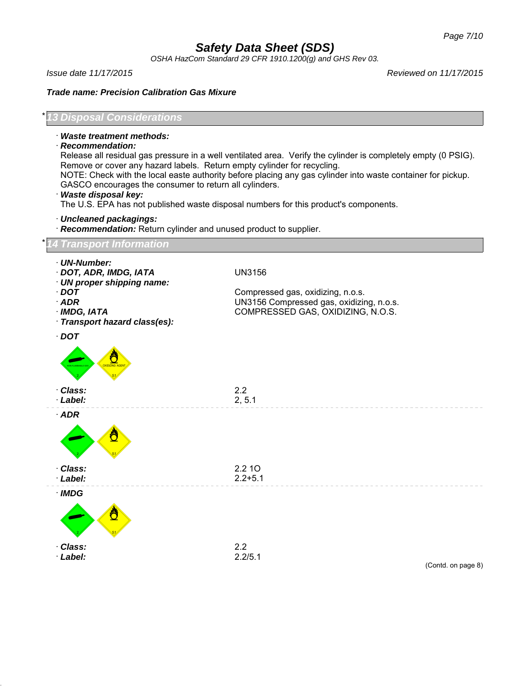*OSHA HazCom Standard 29 CFR 1910.1200(g) and GHS Rev 03.*

*Issue date 11/17/2015 Reviewed on 11/17/2015*

*Trade name: Precision Calibration Gas Mixure*

*Disposal Considerations* 

- · *Waste treatment methods:*
- · *Recommendation:*

Release all residual gas pressure in a well ventilated area. Verify the cylinder is completely empty (0 PSIG). Remove or cover any hazard labels. Return empty cylinder for recycling.

NOTE: Check with the local easte authority before placing any gas cylinder into waste container for pickup. GASCO encourages the consumer to return all cylinders.

· *Waste disposal key:*

The U.S. EPA has not published waste disposal numbers for this product's components.

- · *Uncleaned packagings:*
- · *Recommendation:* Return cylinder and unused product to supplier.

#### \* *14 Transport Information*

| · UN-Number:<br>· DOT, ADR, IMDG, IATA<br>· UN proper shipping name:    | <b>UN3156</b>                                                                                                      |
|-------------------------------------------------------------------------|--------------------------------------------------------------------------------------------------------------------|
| $\cdot$ DOT<br>$·$ ADR<br>· IMDG, IATA<br>· Transport hazard class(es): | Compressed gas, oxidizing, n.o.s.<br>UN3156 Compressed gas, oxidizing, n.o.s.<br>COMPRESSED GAS, OXIDIZING, N.O.S. |
| $\cdot$ DOT<br><b>OXIDIZING AGEP</b><br><b>N-FLAMMABL</b>               |                                                                                                                    |
| · Class:<br>· Label:                                                    | 2.2<br>2, 5.1                                                                                                      |
| $·$ ADR                                                                 |                                                                                                                    |
| · Class:<br>· Label:                                                    | 2.2 10<br>$2.2 + 5.1$                                                                                              |
| $\cdot$ IMDG                                                            |                                                                                                                    |
| · Class:<br>· Label:                                                    | 2.2<br>2.2/5.1<br>(Contd. on page 8)                                                                               |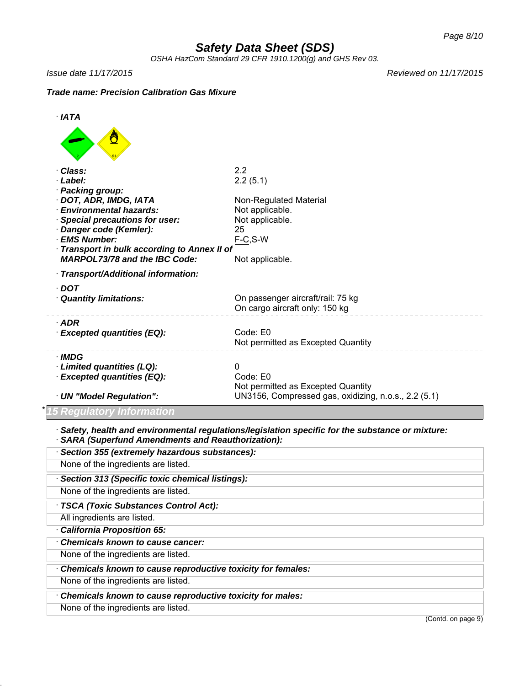*OSHA HazCom Standard 29 CFR 1910.1200(g) and GHS Rev 03.*

*Issue date 11/17/2015 Reviewed on 11/17/2015*

### *Trade name: Precision Calibration Gas Mixure*



None of the ingredients are listed.

· *Chemicals known to cause reproductive toxicity for males:*

None of the ingredients are listed.

(Contd. on page 9)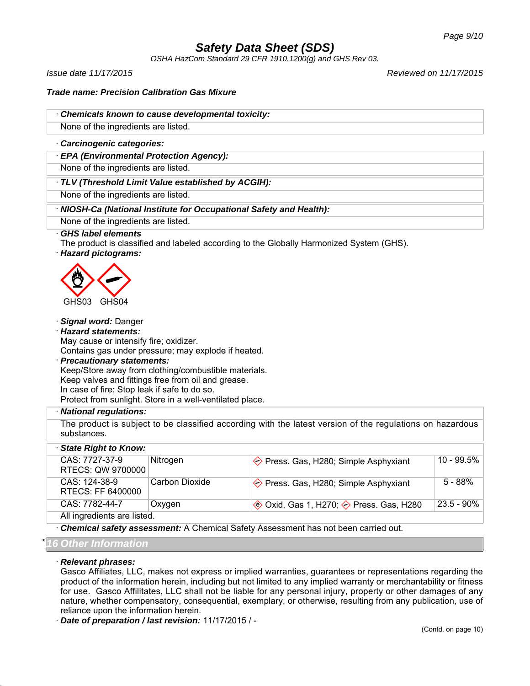*OSHA HazCom Standard 29 CFR 1910.1200(g) and GHS Rev 03.*

*Issue date 11/17/2015 Reviewed on 11/17/2015*

*Trade name: Precision Calibration Gas Mixure*

· *Chemicals known to cause developmental toxicity:*

None of the ingredients are listed.

· *Carcinogenic categories:*

· *EPA (Environmental Protection Agency):*

None of the ingredients are listed.

· *TLV (Threshold Limit Value established by ACGIH):*

None of the ingredients are listed.

### · *NIOSH-Ca (National Institute for Occupational Safety and Health):*

None of the ingredients are listed.

#### · *GHS label elements*

The product is classified and labeled according to the Globally Harmonized System (GHS).

· *Hazard pictograms:*



#### · *Signal word:* Danger

· *Hazard statements:*

May cause or intensify fire; oxidizer.

Contains gas under pressure; may explode if heated.

· *Precautionary statements:* Keep/Store away from clothing/combustible materials. Keep valves and fittings free from oil and grease. In case of fire: Stop leak if safe to do so. Protect from sunlight. Store in a well-ventilated place.

#### · *National regulations:*

The product is subject to be classified according with the latest version of the regulations on hazardous substances.

| State Right to Know:                 |                |                                                    |               |  |  |
|--------------------------------------|----------------|----------------------------------------------------|---------------|--|--|
| CAS: 7727-37-9<br>RTECS: QW 9700000  | Nitrogen       | $\Diamond$ Press. Gas, H280; Simple Asphyxiant     | 10 - 99.5%    |  |  |
| $CAS: 124-38-9$<br>RTECS: FF 6400000 | Carbon Dioxide | $\diamondsuit$ Press. Gas, H280; Simple Asphyxiant | $5 - 88%$     |  |  |
| CAS: 7782-44-7                       | Oxygen         | <b>♦ Oxid. Gas 1, H270; ♦ Press. Gas, H280</b>     | $23.5 - 90\%$ |  |  |
| All ingredients are listed.          |                |                                                    |               |  |  |

· *Chemical safety assessment:* A Chemical Safety Assessment has not been carried out.

#### \* *16 Other Information*

#### · *Relevant phrases:*

Gasco Affiliates, LLC, makes not express or implied warranties, guarantees or representations regarding the product of the information herein, including but not limited to any implied warranty or merchantability or fitness for use. Gasco Affilitates, LLC shall not be liable for any personal injury, property or other damages of any nature, whether compensatory, consequential, exemplary, or otherwise, resulting from any publication, use of reliance upon the information herein.

· *Date of preparation / last revision:* 11/17/2015 / -